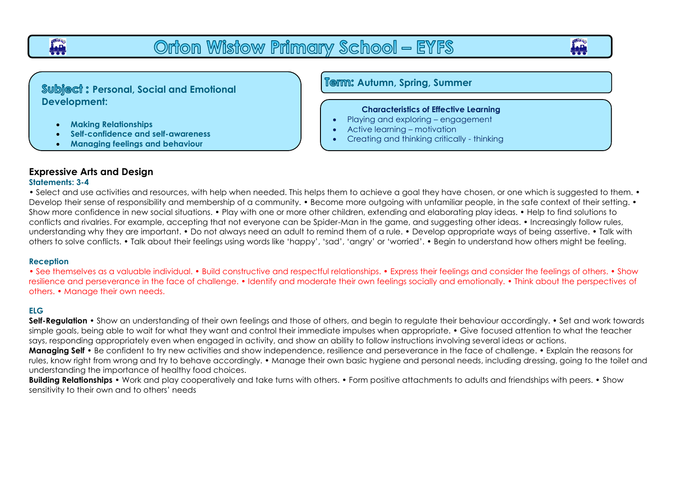# Orton Wistow Primary School - EYFS

**Subject: Personal, Social and Emotional Development:**

- **Making Relationships**
- **Self-confidence and self-awareness**
- **Managing feelings and behaviour**

**Autumn, Spring, Summer**

#### **Characteristics of Effective Learning**

- Playing and exploring engagement
- Active learning motivation

ī

• Creating and thinking critically - thinking

## **Expressive Arts and Design**

#### **Statements: 3-4**

**owns** 

• Select and use activities and resources, with help when needed. This helps them to achieve a goal they have chosen, or one which is suggested to them. • Develop their sense of responsibility and membership of a community. • Become more outgoing with unfamiliar people, in the safe context of their setting. • Show more confidence in new social situations. • Play with one or more other children, extending and elaborating play ideas. • Help to find solutions to conflicts and rivalries. For example, accepting that not everyone can be Spider-Man in the game, and suggesting other ideas. • Increasingly follow rules, understanding why they are important. • Do not always need an adult to remind them of a rule. • Develop appropriate ways of being assertive. • Talk with others to solve conflicts. • Talk about their feelings using words like 'happy', 'sad', 'angry' or 'worried'. • Begin to understand how others might be feeling.

### **Reception**

• See themselves as a valuable individual. • Build constructive and respectful relationships. • Express their feelings and consider the feelings of others. • Show resilience and perseverance in the face of challenge. • Identify and moderate their own feelings socially and emotionally. • Think about the perspectives of others. • Manage their own needs.

### **ELG**

**Self-Regulation** • Show an understanding of their own feelings and those of others, and begin to regulate their behaviour accordingly. • Set and work towards simple goals, being able to wait for what they want and control their immediate impulses when appropriate. • Give focused attention to what the teacher says, responding appropriately even when engaged in activity, and show an ability to follow instructions involving several ideas or actions. **Managing Self** • Be confident to try new activities and show independence, resilience and perseverance in the face of challenge. • Explain the reasons for rules, know right from wrong and try to behave accordingly. • Manage their own basic hygiene and personal needs, including dressing, going to the toilet and

understanding the importance of healthy food choices.

**Building Relationships** • Work and play cooperatively and take turns with others. • Form positive attachments to adults and friendships with peers. • Show sensitivity to their own and to others' needs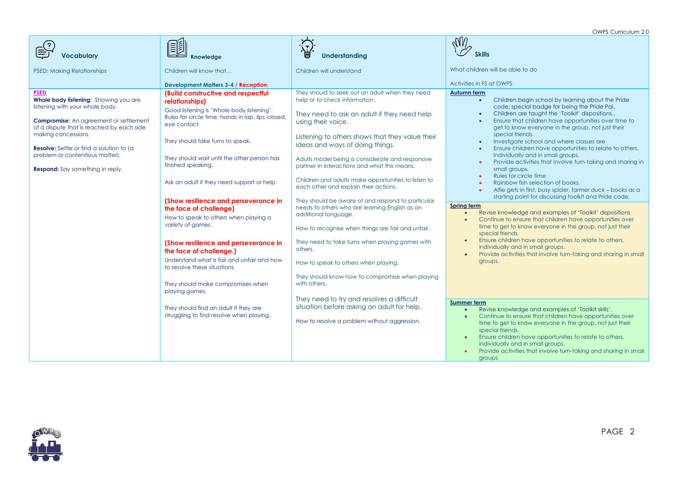OWPS Curriculum 2.0

|                                                                                                                                                                                                                                                                                                                                               |                                                                                                                                                                                                                                                                                                                                                                                                                                                                                                                                                                               |                                                                                                                                                                                                                                                                                                                                                                                                                                                                                                                                                                                                                                                                                                  | OWES CUITICUIUIT Z.U                                                                                                                                                                                                                                                                                                                                                                                                                                                                                                                                                                                                                                                                                                                                                                                                                                                                                                                                                                                                                                                                                                                                                                                                             |
|-----------------------------------------------------------------------------------------------------------------------------------------------------------------------------------------------------------------------------------------------------------------------------------------------------------------------------------------------|-------------------------------------------------------------------------------------------------------------------------------------------------------------------------------------------------------------------------------------------------------------------------------------------------------------------------------------------------------------------------------------------------------------------------------------------------------------------------------------------------------------------------------------------------------------------------------|--------------------------------------------------------------------------------------------------------------------------------------------------------------------------------------------------------------------------------------------------------------------------------------------------------------------------------------------------------------------------------------------------------------------------------------------------------------------------------------------------------------------------------------------------------------------------------------------------------------------------------------------------------------------------------------------------|----------------------------------------------------------------------------------------------------------------------------------------------------------------------------------------------------------------------------------------------------------------------------------------------------------------------------------------------------------------------------------------------------------------------------------------------------------------------------------------------------------------------------------------------------------------------------------------------------------------------------------------------------------------------------------------------------------------------------------------------------------------------------------------------------------------------------------------------------------------------------------------------------------------------------------------------------------------------------------------------------------------------------------------------------------------------------------------------------------------------------------------------------------------------------------------------------------------------------------|
| <b>Vocabulary</b>                                                                                                                                                                                                                                                                                                                             | 塱<br><b>Knowledge</b>                                                                                                                                                                                                                                                                                                                                                                                                                                                                                                                                                         | 浢<br>ᇦ<br>Understanding                                                                                                                                                                                                                                                                                                                                                                                                                                                                                                                                                                                                                                                                          | $\mathcal{M}$<br><b>Skills</b>                                                                                                                                                                                                                                                                                                                                                                                                                                                                                                                                                                                                                                                                                                                                                                                                                                                                                                                                                                                                                                                                                                                                                                                                   |
| <b>PSED: Making Relationships</b>                                                                                                                                                                                                                                                                                                             | Children will know that                                                                                                                                                                                                                                                                                                                                                                                                                                                                                                                                                       | Children will understand                                                                                                                                                                                                                                                                                                                                                                                                                                                                                                                                                                                                                                                                         | What children will be able to do                                                                                                                                                                                                                                                                                                                                                                                                                                                                                                                                                                                                                                                                                                                                                                                                                                                                                                                                                                                                                                                                                                                                                                                                 |
|                                                                                                                                                                                                                                                                                                                                               | <b>Development Matters 3-4 / Reception</b>                                                                                                                                                                                                                                                                                                                                                                                                                                                                                                                                    |                                                                                                                                                                                                                                                                                                                                                                                                                                                                                                                                                                                                                                                                                                  | Activities in FS at OWPS                                                                                                                                                                                                                                                                                                                                                                                                                                                                                                                                                                                                                                                                                                                                                                                                                                                                                                                                                                                                                                                                                                                                                                                                         |
| <b>PSED</b><br>Whole body listening: Showing you are<br>listening with your whole body.<br><b>Compromise:</b> An agreement or settlement<br>of a dispute that is reached by each side<br>making concessions.<br><b>Resolve:</b> Settle or find a solution to (a<br>problem or contentious matter).<br><b>Respond:</b> Say something in reply. | (Build constructive and respectful<br>relationships)<br>Good listening is 'Whole body listening'.<br>Rules for circle time: hands in lap, lips closed,<br>eye contact<br>They should take turns to speak.<br>They should wait until the other person has<br>finished speaking.<br>Ask an adult if they need support or help.<br>(Show resilience and perseverance in<br>the face of challenge)<br>How to speak to others when playing a<br>variety of games.<br>(Show resilience and perseverance in<br>the face of challenge.)<br>Understand what is fair and unfair and how | They should to seek out an adult when they need<br>help or to check information.<br>They need to ask an adult if they need help<br>using their voice.<br>Listening to others shows that they value their<br>ideas and ways of doing things.<br>Adults model being a considerate and responsive<br>partner in interactions and what this means.<br>Children and adults make opportunities to listen to<br>each other and explain their actions.<br>They should be aware of and respond to particular<br>needs to others who are learning English as an<br>additional language.<br>How to recognise when things are fair and unfair.<br>They need to take turns when playing games with<br>others. | Autumn term<br>Children begin school by learning about the Pride<br>$\bullet$<br>code, special badge for being the Pride Pal.<br>Children are taught the 'Toolkit' dispositions<br>$\bullet$<br>Ensure that children have opportunities over time to<br>get to know everyone in the group, not just their<br>special friends.<br>Investigate school and where classes are<br>$\bullet$<br>Ensure children have opportunities to relate to others,<br>$\bullet$<br>individually and in small groups.<br>Provide activities that involve turn-taking and sharing in<br>$\bullet$<br>small groups.<br>Rules for circle time<br>$\bullet$<br>Rainbow fish selection of books.<br>$\bullet$<br>Alfie gets in first, busy spider, farmer duck - books as a<br>starting point for discussing toolkit and Pride code.<br>Spring term<br>Revise knowledge and examples of 'Toolkit' dispositions<br>Continue to ensure that children have opportunities over<br>time to get to know everyone in the group, not just their<br>special friends.<br>Ensure children have opportunities to relate to others,<br>$\bullet$<br>individually and in small groups.<br>Provide activities that involve turn-taking and sharing in small<br>groups. |
|                                                                                                                                                                                                                                                                                                                                               | to resolve these situations.<br>They should make compromises when<br>playing games.<br>They should find an adult if they are<br>struggling to find resolve when playing.                                                                                                                                                                                                                                                                                                                                                                                                      | How to speak to others when playing.<br>They should know how to compromise when playing<br>with others.<br>They need to try and resolves a difficult<br>situation before asking an adult for help.                                                                                                                                                                                                                                                                                                                                                                                                                                                                                               | Summer term<br>Revise knowledge and examples of 'Toolkit skills'.<br>Continue to ensure that children have opportunities over<br>$\bullet$                                                                                                                                                                                                                                                                                                                                                                                                                                                                                                                                                                                                                                                                                                                                                                                                                                                                                                                                                                                                                                                                                       |
|                                                                                                                                                                                                                                                                                                                                               |                                                                                                                                                                                                                                                                                                                                                                                                                                                                                                                                                                               | How to resolve a problem without aggression.                                                                                                                                                                                                                                                                                                                                                                                                                                                                                                                                                                                                                                                     | time to get to know everyone in the group, not just their<br>special friends.<br>Ensure children have opportunities to relate to others,<br>$\bullet$<br>individually and in small groups.<br>Provide activities that involve turn-taking and sharing in small<br>groups.                                                                                                                                                                                                                                                                                                                                                                                                                                                                                                                                                                                                                                                                                                                                                                                                                                                                                                                                                        |

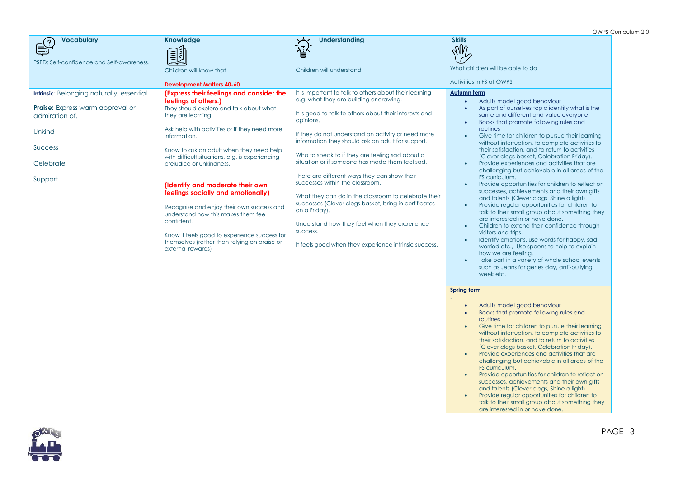OWPS Curriculum 2.0

| $\sum_{i=1}^{n}$<br>圑<br>PSED: Self-confidence and Self-awareness.<br>What children will be able to do<br>Children will understand<br>Children will know that<br>Activities in FS at OWPS<br><b>Development Matters 40-60</b><br>It is important to talk to others about their learning<br>Intrinsic: Belonging naturally; essential.<br>(Express their feelings and consider the<br>Autumn term<br>e.g. what they are building or drawing.<br>feelings of others.)<br>Adults model good behaviour<br><b>Praise:</b> Express warm approval or<br>As part of ourselves topic identify what is the<br>They should explore and talk about what<br>$\bullet$<br>It is good to talk to others about their interests and<br>same and different and value everyone<br>admiration of.<br>they are learning.<br>opinions.<br>Books that promote following rules and<br>$\bullet$<br>routines<br>Ask help with activities or if they need more<br>Unkind<br>If they do not understand an activity or need more<br>Give time for children to pursue their learning<br>information.<br>$\bullet$<br>information they should ask an adult for support.<br>without interruption, to complete activities to<br><b>Success</b><br>their satisfaction, and to return to activities<br>Know to ask an adult when they need help<br>Who to speak to if they are feeling sad about a<br>(Clever clogs basket, Celebration Friday).<br>with difficult situations, e.g. is experiencing<br>situation or if someone has made them feel sad.<br>Celebrate<br>Provide experiences and activities that are<br>prejudice or unkindness.<br>challenging but achievable in all areas of the<br>There are different ways they can show their<br>FS curriculum.<br>Support<br>successes within the classroom.<br>Provide opportunities for children to reflect on<br>(Identify and moderate their own<br>$\bullet$<br>successes, achievements and their own gifts<br>feelings socially and emotionally)<br>What they can do in the classroom to celebrate their<br>and talents (Clever clogs, Shine a light).<br>successes (Clever clogs basket, bring in certificates<br>Provide regular opportunities for children to<br>$\bullet$<br>Recognise and enjoy their own success and<br>on a Friday).<br>talk to their small group about something they<br>understand how this makes them feel<br>are interested in or have done.<br>confident.<br>Understand how they feel when they experience<br>Children to extend their confidence through<br>$\bullet$<br>success.<br>visitors and trips.<br>Know it feels good to experience success for<br>Identify emotions, use words for happy, sad,<br>$\bullet$<br>themselves (rather than relying on praise or<br>It feels good when they experience intrinsic success.<br>worried etc., Use spoons to help to explain<br>external rewards)<br>how we are feeling.<br>Take part in a variety of whole school events<br>such as Jeans for genes day, anti-bullying<br>week etc.<br><b>Spring term</b><br>Adults model good behaviour<br>$\bullet$<br>Books that promote following rules and<br>$\bullet$<br>routines<br>Give time for children to pursue their learning<br>without interruption, to complete activities to<br>their satisfaction, and to return to activities<br>(Clever clogs basket, Celebration Friday).<br>Provide experiences and activities that are<br>$\bullet$ | <b>Vocabulary</b><br><u>ှ</u> | <b>Knowledge</b> | <b>Understanding</b> | <b>Skills</b>                                  |
|----------------------------------------------------------------------------------------------------------------------------------------------------------------------------------------------------------------------------------------------------------------------------------------------------------------------------------------------------------------------------------------------------------------------------------------------------------------------------------------------------------------------------------------------------------------------------------------------------------------------------------------------------------------------------------------------------------------------------------------------------------------------------------------------------------------------------------------------------------------------------------------------------------------------------------------------------------------------------------------------------------------------------------------------------------------------------------------------------------------------------------------------------------------------------------------------------------------------------------------------------------------------------------------------------------------------------------------------------------------------------------------------------------------------------------------------------------------------------------------------------------------------------------------------------------------------------------------------------------------------------------------------------------------------------------------------------------------------------------------------------------------------------------------------------------------------------------------------------------------------------------------------------------------------------------------------------------------------------------------------------------------------------------------------------------------------------------------------------------------------------------------------------------------------------------------------------------------------------------------------------------------------------------------------------------------------------------------------------------------------------------------------------------------------------------------------------------------------------------------------------------------------------------------------------------------------------------------------------------------------------------------------------------------------------------------------------------------------------------------------------------------------------------------------------------------------------------------------------------------------------------------------------------------------------------------------------------------------------------------------------------------------------------------------------------------------------------------------------------------------------------------------------------------------------------------------------------------------------------------------------------------------------------------------------------------------------------------------------------------------------------------------------|-------------------------------|------------------|----------------------|------------------------------------------------|
|                                                                                                                                                                                                                                                                                                                                                                                                                                                                                                                                                                                                                                                                                                                                                                                                                                                                                                                                                                                                                                                                                                                                                                                                                                                                                                                                                                                                                                                                                                                                                                                                                                                                                                                                                                                                                                                                                                                                                                                                                                                                                                                                                                                                                                                                                                                                                                                                                                                                                                                                                                                                                                                                                                                                                                                                                                                                                                                                                                                                                                                                                                                                                                                                                                                                                                                                                                                                    |                               |                  |                      | $\sqrt{M}$                                     |
|                                                                                                                                                                                                                                                                                                                                                                                                                                                                                                                                                                                                                                                                                                                                                                                                                                                                                                                                                                                                                                                                                                                                                                                                                                                                                                                                                                                                                                                                                                                                                                                                                                                                                                                                                                                                                                                                                                                                                                                                                                                                                                                                                                                                                                                                                                                                                                                                                                                                                                                                                                                                                                                                                                                                                                                                                                                                                                                                                                                                                                                                                                                                                                                                                                                                                                                                                                                                    |                               |                  |                      |                                                |
|                                                                                                                                                                                                                                                                                                                                                                                                                                                                                                                                                                                                                                                                                                                                                                                                                                                                                                                                                                                                                                                                                                                                                                                                                                                                                                                                                                                                                                                                                                                                                                                                                                                                                                                                                                                                                                                                                                                                                                                                                                                                                                                                                                                                                                                                                                                                                                                                                                                                                                                                                                                                                                                                                                                                                                                                                                                                                                                                                                                                                                                                                                                                                                                                                                                                                                                                                                                                    |                               |                  |                      |                                                |
|                                                                                                                                                                                                                                                                                                                                                                                                                                                                                                                                                                                                                                                                                                                                                                                                                                                                                                                                                                                                                                                                                                                                                                                                                                                                                                                                                                                                                                                                                                                                                                                                                                                                                                                                                                                                                                                                                                                                                                                                                                                                                                                                                                                                                                                                                                                                                                                                                                                                                                                                                                                                                                                                                                                                                                                                                                                                                                                                                                                                                                                                                                                                                                                                                                                                                                                                                                                                    |                               |                  |                      |                                                |
| FS curriculum.<br>Provide opportunities for children to reflect on<br>$\bullet$<br>successes, achievements and their own gifts<br>and talents (Clever clogs, Shine a light).                                                                                                                                                                                                                                                                                                                                                                                                                                                                                                                                                                                                                                                                                                                                                                                                                                                                                                                                                                                                                                                                                                                                                                                                                                                                                                                                                                                                                                                                                                                                                                                                                                                                                                                                                                                                                                                                                                                                                                                                                                                                                                                                                                                                                                                                                                                                                                                                                                                                                                                                                                                                                                                                                                                                                                                                                                                                                                                                                                                                                                                                                                                                                                                                                       |                               |                  |                      | challenging but achievable in all areas of the |

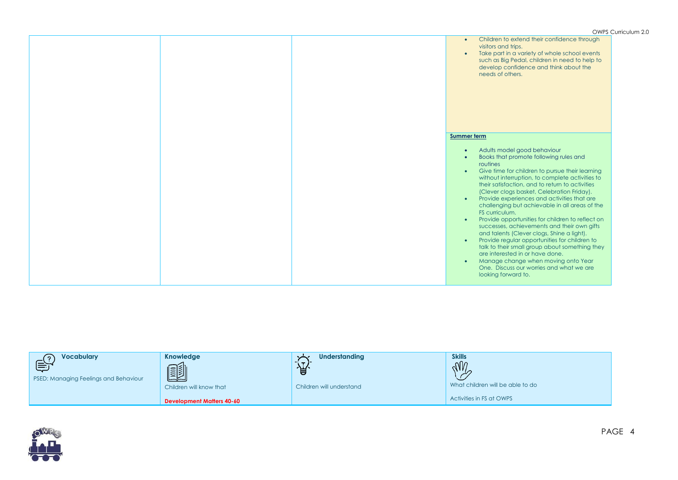|  | ◡ ੶ ੶ ・ ◡                                                                                                                                                                                                                                                                                                                                                                                                                                                                                                                                                                                                                                                                                                                                                                                                                                                                                               |
|--|---------------------------------------------------------------------------------------------------------------------------------------------------------------------------------------------------------------------------------------------------------------------------------------------------------------------------------------------------------------------------------------------------------------------------------------------------------------------------------------------------------------------------------------------------------------------------------------------------------------------------------------------------------------------------------------------------------------------------------------------------------------------------------------------------------------------------------------------------------------------------------------------------------|
|  | Children to extend their confidence through<br>$\bullet$<br>visitors and trips.<br>Take part in a variety of whole school events<br>$\bullet$<br>such as Big Pedal, children in need to help to<br>develop confidence and think about the<br>needs of others.                                                                                                                                                                                                                                                                                                                                                                                                                                                                                                                                                                                                                                           |
|  | Summer term                                                                                                                                                                                                                                                                                                                                                                                                                                                                                                                                                                                                                                                                                                                                                                                                                                                                                             |
|  |                                                                                                                                                                                                                                                                                                                                                                                                                                                                                                                                                                                                                                                                                                                                                                                                                                                                                                         |
|  | Adults model good behaviour<br>$\bullet$<br>Books that promote following rules and<br>$\bullet$<br>routines<br>Give time for children to pursue their learning<br>$\bullet$<br>without interruption, to complete activities to<br>their satisfaction, and to return to activities<br>(Clever clogs basket, Celebration Friday).<br>Provide experiences and activities that are<br>$\bullet$<br>challenging but achievable in all areas of the<br>FS curriculum.<br>Provide opportunities for children to reflect on<br>$\bullet$<br>successes, achievements and their own gifts<br>and talents (Clever clogs, Shine a light).<br>Provide regular opportunities for children to<br>$\bullet$<br>talk to their small group about something they<br>are interested in or have done.<br>Manage change when moving onto Year<br>$\bullet$<br>One. Discuss our worries and what we are<br>looking forward to. |